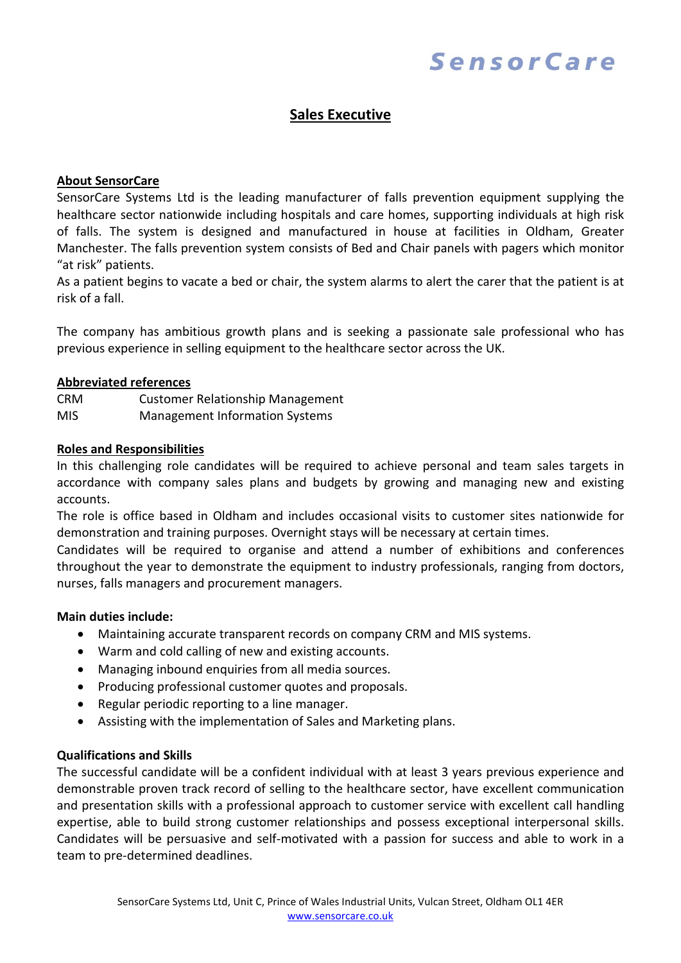# SensorCare

## **Sales Executive**

#### **About SensorCare**

SensorCare Systems Ltd is the leading manufacturer of falls prevention equipment supplying the healthcare sector nationwide including hospitals and care homes, supporting individuals at high risk of falls. The system is designed and manufactured in house at facilities in Oldham, Greater Manchester. The falls prevention system consists of Bed and Chair panels with pagers which monitor "at risk" patients.

As a patient begins to vacate a bed or chair, the system alarms to alert the carer that the patient is at risk of a fall.

The company has ambitious growth plans and is seeking a passionate sale professional who has previous experience in selling equipment to the healthcare sector across the UK.

#### **Abbreviated references**

CRM Customer Relationship Management MIS Management Information Systems

#### **Roles and Responsibilities**

In this challenging role candidates will be required to achieve personal and team sales targets in accordance with company sales plans and budgets by growing and managing new and existing accounts.

The role is office based in Oldham and includes occasional visits to customer sites nationwide for demonstration and training purposes. Overnight stays will be necessary at certain times.

Candidates will be required to organise and attend a number of exhibitions and conferences throughout the year to demonstrate the equipment to industry professionals, ranging from doctors, nurses, falls managers and procurement managers.

#### **Main duties include:**

- Maintaining accurate transparent records on company CRM and MIS systems.
- Warm and cold calling of new and existing accounts.
- Managing inbound enquiries from all media sources.
- Producing professional customer quotes and proposals.
- Regular periodic reporting to a line manager.
- Assisting with the implementation of Sales and Marketing plans.

### **Qualifications and Skills**

The successful candidate will be a confident individual with at least 3 years previous experience and demonstrable proven track record of selling to the healthcare sector, have excellent communication and presentation skills with a professional approach to customer service with excellent call handling expertise, able to build strong customer relationships and possess exceptional interpersonal skills. Candidates will be persuasive and self-motivated with a passion for success and able to work in a team to pre-determined deadlines.